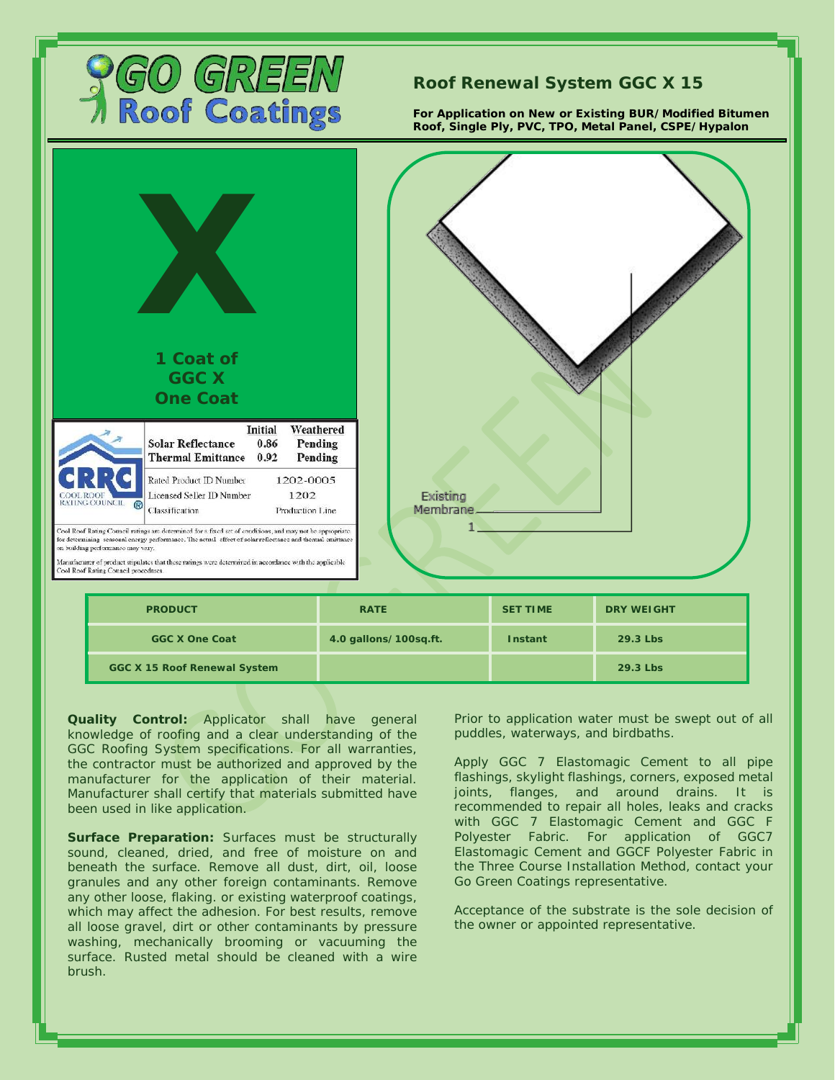

## **Roof Renewal System GGC X 15**

**For Application on New or Existing BUR/Modified Bitumen Roof, Single Ply, PVC, TPO, Metal Panel, CSPE/Hypalon**



**GGC X 15 Roof Renewal System 29.3 Lbs**

**Quality Control:** Applicator shall have general knowledge of roofing and a clear understanding of the GGC Roofing System specifications. For all warranties, the contractor must be authorized and approved by the manufacturer for the application of their material. Manufacturer shall certify that materials submitted have been used in like application.

**Surface Preparation:** Surfaces must be structurally sound, cleaned, dried, and free of moisture on and beneath the surface. Remove all dust, dirt, oil, loose granules and any other foreign contaminants. Remove any other loose, flaking. or existing waterproof coatings, which may affect the adhesion. For best results, remove all loose gravel, dirt or other contaminants by pressure washing, mechanically brooming or vacuuming the surface. Rusted metal should be cleaned with a wire brush.

Prior to application water must be swept out of all puddles, waterways, and birdbaths.

Apply GGC 7 Elastomagic Cement to all pipe flashings, skylight flashings, corners, exposed metal joints, flanges, and around drains. It is recommended to repair all holes, leaks and cracks with GGC 7 Elastomagic Cement and GGC F Polyester Fabric. For application of GGC7 Elastomagic Cement and GGCF Polyester Fabric in the Three Course Installation Method, contact your Go Green Coatings representative.

Acceptance of the substrate is the sole decision of the owner or appointed representative.